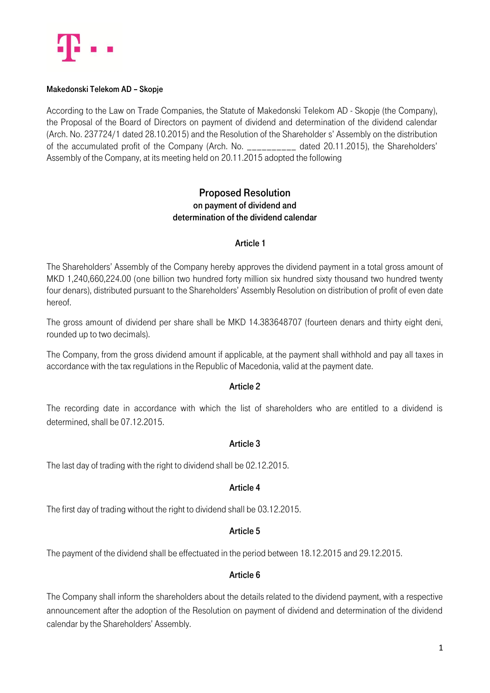

#### Makedonski Telekom AD – Skopje

According to the Law on Trade Companies, the Statute of Makedonski Telekom AD - Skopje (the Company), the Proposal of the Board of Directors on payment of dividend and determination of the dividend calendar (Arch. No. 237724/1 dated 28.10.2015) and the Resolution of the Shareholder s' Assembly on the distribution of the accumulated profit of the Company (Arch. No. \_\_\_\_\_\_\_\_\_\_ dated 20.11.2015), the Shareholders' Assembly of the Company, at its meeting held on 20.11.2015 adopted the following

## Proposed Resolution on payment of dividend and determination of the dividend calendar

## Article 1

The Shareholders' Assembly of the Company hereby approves the dividend payment in a total gross amount of MKD 1,240,660,224.00 (one billion two hundred forty million six hundred sixty thousand two hundred twenty four denars), distributed pursuant to the Shareholders' Assembly Resolution on distribution of profit of even date hereof.

The gross amount of dividend per share shall be MKD 14.383648707 (fourteen denars and thirty eight deni, rounded up to two decimals).

The Company, from the gross dividend amount if applicable, at the payment shall withhold and pay all taxes in accordance with the tax regulations in the Republic of Macedonia, valid at the payment date.

#### Article 2

The recording date in accordance with which the list of shareholders who are entitled to a dividend is determined, shall be 07.12.2015.

## Article 3

The last day of trading with the right to dividend shall be 02.12.2015.

## Article 4

The first day of trading without the right to dividend shall be 03.12.2015.

## Article 5

The payment of the dividend shall be effectuated in the period between 18.12.2015 and 29.12.2015.

#### Article 6

The Company shall inform the shareholders about the details related to the dividend payment, with a respective announcement after the adoption of the Resolution on payment of dividend and determination of the dividend calendar by the Shareholders' Assembly.